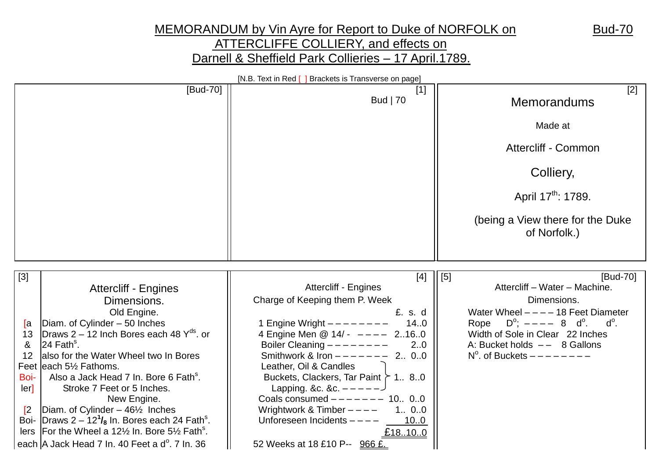## MEMORANDUM by Vin Ayre for Report to Duke of NORFOLK on Bud-70 ATTERCLIFFE COLLIERY, and effects on Darnell & Sheffield Park Collieries – 17 April.1789.

|                                                                                                                                                                                                                                                                                                                                                                                                                                                                                                                                                                                                                                                                                                                                | [N.B. Text in Red [ ] Brackets is Transverse on page]                                                                                                                                                                                                                                                                                                                                                                                                                                            |                                                                                                                                                                                                                                                                                |
|--------------------------------------------------------------------------------------------------------------------------------------------------------------------------------------------------------------------------------------------------------------------------------------------------------------------------------------------------------------------------------------------------------------------------------------------------------------------------------------------------------------------------------------------------------------------------------------------------------------------------------------------------------------------------------------------------------------------------------|--------------------------------------------------------------------------------------------------------------------------------------------------------------------------------------------------------------------------------------------------------------------------------------------------------------------------------------------------------------------------------------------------------------------------------------------------------------------------------------------------|--------------------------------------------------------------------------------------------------------------------------------------------------------------------------------------------------------------------------------------------------------------------------------|
| [Bud-70]                                                                                                                                                                                                                                                                                                                                                                                                                                                                                                                                                                                                                                                                                                                       | $[1]$<br><b>Bud</b>   70                                                                                                                                                                                                                                                                                                                                                                                                                                                                         | [2]<br><b>Memorandums</b>                                                                                                                                                                                                                                                      |
|                                                                                                                                                                                                                                                                                                                                                                                                                                                                                                                                                                                                                                                                                                                                |                                                                                                                                                                                                                                                                                                                                                                                                                                                                                                  | Made at                                                                                                                                                                                                                                                                        |
|                                                                                                                                                                                                                                                                                                                                                                                                                                                                                                                                                                                                                                                                                                                                |                                                                                                                                                                                                                                                                                                                                                                                                                                                                                                  | Attercliff - Common                                                                                                                                                                                                                                                            |
|                                                                                                                                                                                                                                                                                                                                                                                                                                                                                                                                                                                                                                                                                                                                |                                                                                                                                                                                                                                                                                                                                                                                                                                                                                                  | Colliery,                                                                                                                                                                                                                                                                      |
|                                                                                                                                                                                                                                                                                                                                                                                                                                                                                                                                                                                                                                                                                                                                |                                                                                                                                                                                                                                                                                                                                                                                                                                                                                                  | April 17 <sup>th</sup> : 1789.                                                                                                                                                                                                                                                 |
|                                                                                                                                                                                                                                                                                                                                                                                                                                                                                                                                                                                                                                                                                                                                |                                                                                                                                                                                                                                                                                                                                                                                                                                                                                                  | (being a View there for the Duke<br>of Norfolk.)                                                                                                                                                                                                                               |
|                                                                                                                                                                                                                                                                                                                                                                                                                                                                                                                                                                                                                                                                                                                                |                                                                                                                                                                                                                                                                                                                                                                                                                                                                                                  |                                                                                                                                                                                                                                                                                |
| $[3]$<br><b>Attercliff - Engines</b><br>Dimensions.<br>Old Engine.<br>Diam. of Cylinder - 50 Inches<br>[a<br>Draws 2 – 12 Inch Bores each 48 $Y^{ds}$ . or<br>13<br>$24$ Fath <sup>s</sup> .<br>&<br>also for the Water Wheel two In Bores<br>12<br>Feet leach 5 <sup>1</sup> / <sub>2</sub> Fathoms.<br>Also a Jack Head 7 In. Bore 6 Fath <sup>s</sup> .<br>Boi-<br>Stroke 7 Feet or 5 Inches.<br>$\text{ler}$<br>New Engine.<br>Diam. of Cylinder $-46\frac{1}{2}$ Inches<br>$\mathbb{Z}$<br>Boi- Draws $2 - 12^7$ / <sub>8</sub> In. Bores each 24 Fath <sup>s</sup> .<br>lers   For the Wheel a $12\frac{1}{2}$ In. Bore $5\frac{1}{2}$ Fath <sup>s</sup> .<br>each A Jack Head 7 In. 40 Feet a d <sup>o</sup> . 7 In. 36 | $[4]$<br><b>Attercliff - Engines</b><br>Charge of Keeping them P. Week<br>£. s. d<br>14.0<br>1 Engine Wright $------$<br>4 Engine Men @ 14/- ---- 2160<br>Boiler Cleaning $------$<br>2.0<br>Smithwork & Iron $--- - - - - 2$ 00<br>Leather, Oil & Candles<br>Buckets, Clackers, Tar Paint $\geq 180$<br>Lapping. &c. &c. $---$ - - -<br>Coals consumed $------ - 10$ 00<br>Wrightwork & Timber $---$<br>1 00<br>Unforeseen Incidents $---$<br>10.0<br>£18.10.0<br>52 Weeks at 18 £10 P-- 966 £. | [Bud-70]<br>[5]<br>Attercliff - Water - Machine.<br>Dimensions.<br>Water Wheel $---18$ Feet Diameter<br>Rope $D^{\circ}$ ; ---- 8 d <sup>o</sup> .<br>$d^{\circ}$ .<br>Width of Sole in Clear 22 Inches<br>A: Bucket holds $--$ 8 Gallons<br>$N^{\circ}$ . of Buckets $------$ |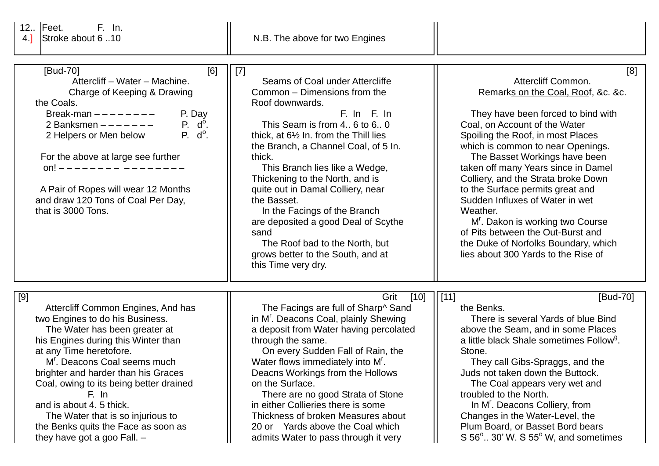12..  $\begin{bmatrix} \text{Feet.} \\ \text{Stroke about 6} \end{bmatrix}$  F. In.

| [Bud-70]<br>[6]<br>Attercliff - Water - Machine.<br>Charge of Keeping & Drawing<br>the Coals.<br>P. Day<br>Break-man $------$<br>P. d <sup>o</sup> .<br>2 Banksmen ------<br>$P. d^{\circ}.$<br>2 Helpers or Men below<br>For the above at large see further<br>on! $---$<br>A Pair of Ropes will wear 12 Months<br>and draw 120 Tons of Coal Per Day,<br>that is 3000 Tons.                                                                     | $[7]$<br>Seams of Coal under Attercliffe<br>Common - Dimensions from the<br>Roof downwards.<br>F. In F. In<br>This Seam is from 4., 6 to 6., 0<br>thick, at $6\frac{1}{2}$ In. from the Thill lies<br>the Branch, a Channel Coal, of 5 In.<br>thick.<br>This Branch lies like a Wedge,<br>Thickening to the North, and is<br>quite out in Damal Colliery, near<br>the Basset.<br>In the Facings of the Branch<br>are deposited a good Deal of Scythe<br>sand<br>The Roof bad to the North, but<br>grows better to the South, and at<br>this Time very dry. | [8]<br>Attercliff Common.<br>Remarks on the Coal, Roof, &c. &c.<br>They have been forced to bind with<br>Coal, on Account of the Water<br>Spoiling the Roof, in most Places<br>which is common to near Openings.<br>The Basset Workings have been<br>taken off many Years since in Damel<br>Colliery, and the Strata broke Down<br>to the Surface permits great and<br>Sudden Influxes of Water in wet<br>Weather.<br>M <sup>r</sup> . Dakon is working two Course<br>of Pits between the Out-Burst and<br>the Duke of Norfolks Boundary, which<br>lies about 300 Yards to the Rise of |
|--------------------------------------------------------------------------------------------------------------------------------------------------------------------------------------------------------------------------------------------------------------------------------------------------------------------------------------------------------------------------------------------------------------------------------------------------|------------------------------------------------------------------------------------------------------------------------------------------------------------------------------------------------------------------------------------------------------------------------------------------------------------------------------------------------------------------------------------------------------------------------------------------------------------------------------------------------------------------------------------------------------------|----------------------------------------------------------------------------------------------------------------------------------------------------------------------------------------------------------------------------------------------------------------------------------------------------------------------------------------------------------------------------------------------------------------------------------------------------------------------------------------------------------------------------------------------------------------------------------------|
| [9]<br>Attercliff Common Engines, And has<br>two Engines to do his Business.<br>The Water has been greater at<br>his Engines during this Winter than<br>at any Time heretofore.<br>M'. Deacons Coal seems much<br>brighter and harder than his Graces<br>Coal, owing to its being better drained<br>F. In<br>and is about 4. 5 thick.<br>The Water that is so injurious to<br>the Benks quits the Face as soon as<br>they have got a goo Fall. - | Grit<br>$[10]$<br>The Facings are full of Sharp^ Sand<br>in M <sup>r</sup> . Deacons Coal, plainly Shewing<br>a deposit from Water having percolated<br>through the same.<br>On every Sudden Fall of Rain, the<br>Water flows immediately into M <sup>r</sup> .<br>Deacns Workings from the Hollows<br>on the Surface.<br>There are no good Strata of Stone<br>in either Collieries there is some<br>Thickness of broken Measures about<br>20 or Yards above the Coal which<br>admits Water to pass through it very                                        | $\frac{1}{1}$ [11]<br>[Bud-70]<br>the Benks.<br>There is several Yards of blue Bind<br>above the Seam, and in some Places<br>a little black Shale sometimes Follow <sup>9</sup> .<br>Stone.<br>They call Gibs-Spraggs, and the<br>Juds not taken down the Buttock.<br>The Coal appears very wet and<br>troubled to the North.<br>In M <sup>r</sup> . Deacons Colliery, from<br>Changes in the Water-Level, the<br>Plum Board, or Basset Bord bears<br>$S$ 56 $^{\circ}$ 30' W. S 55 $^{\circ}$ W, and sometimes                                                                        |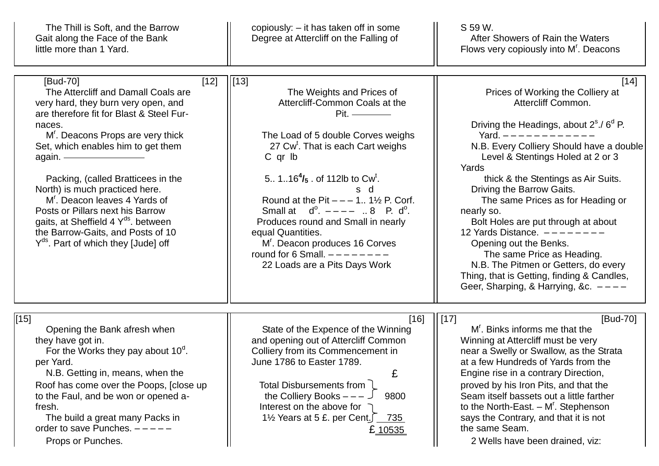| The Thill is Soft, and the Barrow<br>Gait along the Face of the Bank<br>little more than 1 Yard.                                                                                                                                                                                                                                                                                                                                                                                                                                          | copiously: – it has taken off in some<br>Degree at Attercliff on the Falling of                                                                                                                                                                                                                                                                                                                                                                                                                                         | S 59 W.<br>After Showers of Rain the Waters<br>Flows very copiously into M'. Deacons                                                                                                                                                                                                                                                                                                                                                                                                                                                                                                                                              |
|-------------------------------------------------------------------------------------------------------------------------------------------------------------------------------------------------------------------------------------------------------------------------------------------------------------------------------------------------------------------------------------------------------------------------------------------------------------------------------------------------------------------------------------------|-------------------------------------------------------------------------------------------------------------------------------------------------------------------------------------------------------------------------------------------------------------------------------------------------------------------------------------------------------------------------------------------------------------------------------------------------------------------------------------------------------------------------|-----------------------------------------------------------------------------------------------------------------------------------------------------------------------------------------------------------------------------------------------------------------------------------------------------------------------------------------------------------------------------------------------------------------------------------------------------------------------------------------------------------------------------------------------------------------------------------------------------------------------------------|
| [Bud-70]<br>$[12]$<br>The Attercliff and Damall Coals are<br>very hard, they burn very open, and<br>are therefore fit for Blast & Steel Fur-<br>naces.<br>M'. Deacons Props are very thick<br>Set, which enables him to get them<br>again. —<br>Packing, (called Bratticees in the<br>North) is much practiced here.<br>M <sup>r</sup> . Deacon leaves 4 Yards of<br>Posts or Pillars next his Barrow<br>gaits, at Sheffield 4 Y <sup>ds</sup> . between<br>the Barrow-Gaits, and Posts of 10<br>$Y^{ds}$ . Part of which they [Jude] off | $\left  \right $ [13]<br>The Weights and Prices of<br>Attercliff-Common Coals at the<br>$Pit.$ ————<br>The Load of 5 double Corves weighs<br>27 Cw <sup>t</sup> . That is each Cart weighs<br>C qr lb<br>5 $116^{4}/_{5}$ . of 112lb to Cw <sup>t</sup> .<br>s d<br>Round at the Pit $- - 1$ . 1½ P. Corf.<br>Small at $d^0$ . $---$ 8 P. $d^0$ .<br>Produces round and Small in nearly<br>equal Quantities.<br>M <sup>r</sup> . Deacon produces 16 Corves<br>round for 6 Small. $---$<br>22 Loads are a Pits Days Work | $[14]$<br>Prices of Working the Colliery at<br>Attercliff Common.<br>Driving the Headings, about 2 <sup>s</sup> ./ 6 <sup>d</sup> P.<br>Yard. $------$<br>N.B. Every Colliery Should have a double<br>Level & Stentings Holed at 2 or 3<br>Yards<br>thick & the Stentings as Air Suits.<br>Driving the Barrow Gaits.<br>The same Prices as for Heading or<br>nearly so.<br>Bolt Holes are put through at about<br>12 Yards Distance. $---$<br>Opening out the Benks.<br>The same Price as Heading.<br>N.B. The Pitmen or Getters, do every<br>Thing, that is Getting, finding & Candles,<br>Geer, Sharping, & Harrying, &c. $---$ |
| $[15]$<br>Opening the Bank afresh when<br>they have got in.<br>For the Works they pay about $10^{\circ}$ .<br>per Yard.<br>N.B. Getting in, means, when the<br>Roof has come over the Poops, [close up<br>to the Faul, and be won or opened a-<br>fresh.<br>The build a great many Packs in<br>order to save Punches. $---$<br>Props or Punches.                                                                                                                                                                                          | $[16]$<br>State of the Expence of the Winning<br>and opening out of Attercliff Common<br>Colliery from its Commencement in<br>June 1786 to Easter 1789.<br>£<br>Total Disbursements from l<br>the Colliery Books $---$<br>9800<br>Interest on the above for<br>1 <sup>1</sup> / <sub>2</sub> Years at 5 £. per Cent. $\sqrt{735}$<br>£ <u>10535</u>                                                                                                                                                                     | $\vert$ [17]<br>[Bud-70]<br>M'. Binks informs me that the<br>Winning at Attercliff must be very<br>near a Swelly or Swallow, as the Strata<br>at a few Hundreds of Yards from the<br>Engine rise in a contrary Direction,<br>proved by his Iron Pits, and that the<br>Seam itself bassets out a little farther<br>to the North-East. $- Mr$ . Stephenson<br>says the Contrary, and that it is not<br>the same Seam.<br>2 Wells have been drained, viz:                                                                                                                                                                            |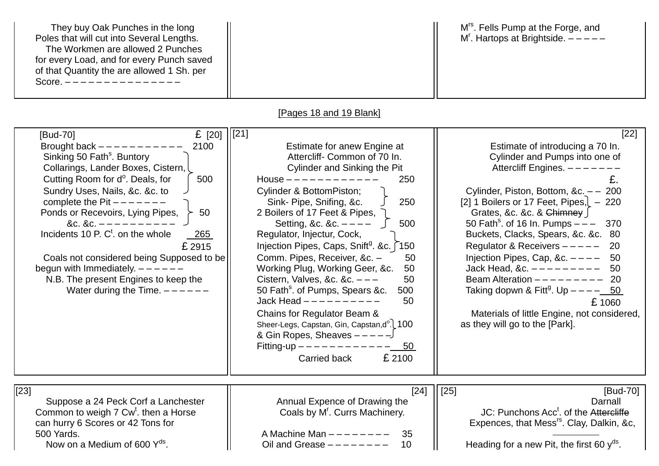| They buy Oak Punches in the long<br>Poles that will cut into Several Lengths.<br>The Workmen are allowed 2 Punches<br>for every Load, and for every Punch saved<br>of that Quantity the are allowed 1 Sh. per<br>Score. ---------------                                                                                                                                                                                                                                                                                                                            |                                                                                                                                                                                                                                                                                                                                                                                                                                                                                                                                                                                                                                                                                                                                                              | M <sup>rs</sup> . Fells Pump at the Forge, and<br>$M'$ . Hartops at Brightside. $---$                                                                                                                                                                                                                                                                                                                                                                                                                                                                                                                                             |
|--------------------------------------------------------------------------------------------------------------------------------------------------------------------------------------------------------------------------------------------------------------------------------------------------------------------------------------------------------------------------------------------------------------------------------------------------------------------------------------------------------------------------------------------------------------------|--------------------------------------------------------------------------------------------------------------------------------------------------------------------------------------------------------------------------------------------------------------------------------------------------------------------------------------------------------------------------------------------------------------------------------------------------------------------------------------------------------------------------------------------------------------------------------------------------------------------------------------------------------------------------------------------------------------------------------------------------------------|-----------------------------------------------------------------------------------------------------------------------------------------------------------------------------------------------------------------------------------------------------------------------------------------------------------------------------------------------------------------------------------------------------------------------------------------------------------------------------------------------------------------------------------------------------------------------------------------------------------------------------------|
|                                                                                                                                                                                                                                                                                                                                                                                                                                                                                                                                                                    | [Pages 18 and 19 Blank]                                                                                                                                                                                                                                                                                                                                                                                                                                                                                                                                                                                                                                                                                                                                      |                                                                                                                                                                                                                                                                                                                                                                                                                                                                                                                                                                                                                                   |
| £ $[20]$<br>[Bud-70]<br>Brought back $---------$<br>2100<br>Sinking 50 Fath <sup>s</sup> . Buntory<br>Collarings, Lander Boxes, Cistern, L<br>Cutting Room for d <sup>o</sup> . Deals, for<br>500<br>Sundry Uses, Nails, &c. &c. to<br>complete the Pit $---$<br>Ponds or Recevoirs, Lying Pipes,<br>50<br>&c. &c. $---$<br>Incidents 10 P. C <sup>t</sup> . on the whole<br>265<br>£ 2915<br>Coals not considered being Supposed to be<br>begun with Immediately. $---$ - - - - -<br>N.B. The present Engines to keep the<br>Water during the Time. $---$ - - - - | $[21]$<br>Estimate for anew Engine at<br>Attercliff- Common of 70 In.<br>Cylinder and Sinking the Pit<br>House $---------$<br>250<br><b>Cylinder &amp; BottomPiston;</b><br>Sink- Pipe, Snifing, &c.<br>250<br>2 Boilers of 17 Feet & Pipes,<br>Setting, &c. &c. $- - - -$<br>500<br>Regulator, Injectur, Cock,<br>Injection Pipes, Caps, Snift <sup>g</sup> . &c. 150<br>Comm. Pipes, Receiver, &c. -<br>50<br>Working Plug, Working Geer, &c.<br>50<br>Cistern, Valves, &c. &c. $-$ -<br>50<br>50 Fath <sup>s</sup> . of Pumps, Spears &c.<br>500<br>Jack Head $- - - - - - - - -$<br>50<br>Chains for Regulator Beam &<br>Sheer-Legs, Capstan, Gin, Capstan, d°. 100<br>& Gin Ropes, Sheaves $---$<br>Fitting-up $------$<br>50<br>£ 2100<br>Carried back | $[22]$<br>Estimate of introducing a 70 In.<br>Cylinder and Pumps into one of<br>Attercliff Engines. -----<br>£.<br>Cylinder, Piston, Bottom, &c. - - 200<br>[2] 1 Boilers or 17 Feet, Pipes, $-220$<br>Grates, &c. &c. & $G$ himney<br>50 Fath <sup>s</sup> . of 16 ln. Pumps $- -$<br>370<br>Buckets, Clacks, Spears, &c. &c. 80<br>Regulator & Receivers $---$<br>-20<br>Injection Pipes, Cap, &c. $---$<br>-50<br>Jack Head, &c. $------$<br>50<br>Beam Alteration $------$<br>-20<br>Taking dopwn & Fitt <sup>g</sup> . Up $---$ 50<br>£1060<br>Materials of little Engine, not considered,<br>as they will go to the [Park]. |
| $[23]$<br>Suppose a 24 Peck Corf a Lanchester<br>Common to weigh 7 Cw <sup>t</sup> . then a Horse<br>can hurry 6 Scores or 42 Tons for<br>500 Yards.<br>Now on a Medium of 600 $Y^{ds}$ .                                                                                                                                                                                                                                                                                                                                                                          | $[24]$<br>Annual Expence of Drawing the<br>Coals by M'. Currs Machinery.<br>A Machine Man $------$<br>35<br>10<br>Oil and Grease $------$                                                                                                                                                                                                                                                                                                                                                                                                                                                                                                                                                                                                                    | $[25]$<br>[Bud-70]<br>Darnall<br>JC: Punchons Acc <sup>t</sup> . of the Attercliffe<br>Expences, that Mess <sup>rs</sup> . Clay, Dalkin, &c,<br>Heading for a new Pit, the first 60 $y^{ds}$ .                                                                                                                                                                                                                                                                                                                                                                                                                                    |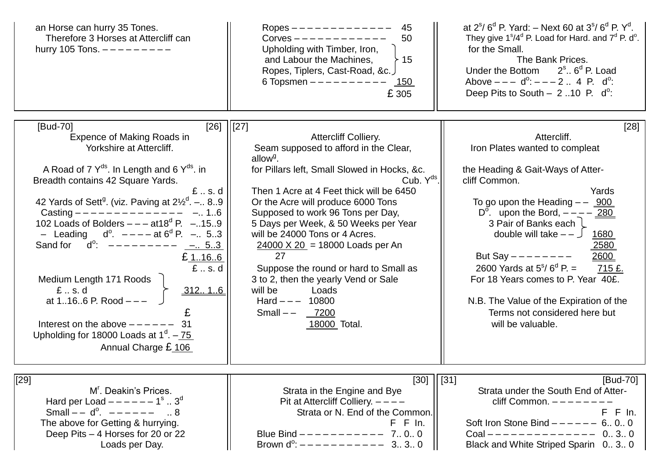| an Horse can hurry 35 Tones.<br>Therefore 3 Horses at Attercliff can<br>hurry 105 Tons. $------$                                                                                                                                                                                                                                                                                                                                                                                                                                                                                                                                                                                                             | Ropes $------------$<br>45<br>50<br>Corves $------$<br>Upholding with Timber, Iron,<br>and Labour the Machines,<br>15<br>Ropes, Tiplers, Cast-Road, &c.<br>6 Topsmen $------$<br>150<br>£ 305                                                                                                                                                                                                                                                                                                                                                                                             | at $2^{s}/6^{d}$ P. Yard: – Next 60 at $3^{s}/6^{d}$ P. Y <sup>d</sup> .<br>They give $1^{\circ}/4^{\circ}$ P. Load for Hard. and $7^{\circ}$ P. d <sup>o</sup> .<br>for the Small.<br>The Bank Prices.<br>Under the Bottom<br>$2s$ 6 <sup>d</sup> P. Load<br>Above $--- d^{\circ}$ : $--- 2$ 4 P. $d^{\circ}$ :<br>Deep Pits to South $- 2$ 10 P. d <sup>o</sup> :                                                                                                                                         |
|--------------------------------------------------------------------------------------------------------------------------------------------------------------------------------------------------------------------------------------------------------------------------------------------------------------------------------------------------------------------------------------------------------------------------------------------------------------------------------------------------------------------------------------------------------------------------------------------------------------------------------------------------------------------------------------------------------------|-------------------------------------------------------------------------------------------------------------------------------------------------------------------------------------------------------------------------------------------------------------------------------------------------------------------------------------------------------------------------------------------------------------------------------------------------------------------------------------------------------------------------------------------------------------------------------------------|-------------------------------------------------------------------------------------------------------------------------------------------------------------------------------------------------------------------------------------------------------------------------------------------------------------------------------------------------------------------------------------------------------------------------------------------------------------------------------------------------------------|
| [26]<br>[Bud-70]<br><b>Expence of Making Roads in</b><br>Yorkshire at Attercliff.<br>A Road of 7 $Y^{ds}$ . In Length and 6 $Y^{ds}$ . in<br>Breadth contains 42 Square Yards.<br>$E1$ . s. d<br>42 Yards of Sett <sup>9</sup> . (viz. Paving at $2\frac{1}{2}$ <sup>d</sup> . - 89<br>Casting $--------------- - -$<br>102 Loads of Bolders $---$ at 18 <sup>d</sup> P. $-.159$<br>- Leading $d^0$ . $---$ at $6^d$ P. $---$ 53<br>$\mathsf{d}^\mathsf{o}$ :<br>$- - - - - - - - -$<br>Sand for<br>$-.53$<br>£ 1166<br>£.s.d<br>Medium Length 171 Roods<br>$E1$ . s.d<br>312 16<br>at $1166$ P. Rood $---$<br>Interest on the above $---$<br>Upholding for 18000 Loads at $1d$ . - 75<br>Annual Charge £106 | [27]<br><b>Attercliff Colliery.</b><br>Seam supposed to afford in the Clear,<br>allow <sup>g</sup> .<br>for Pillars left, Small Slowed in Hocks, &c.<br>Cub. Y <sup>ds</sup><br>Then 1 Acre at 4 Feet thick will be 6450<br>Or the Acre will produce 6000 Tons<br>Supposed to work 96 Tons per Day,<br>5 Days per Week, & 50 Weeks per Year<br>will be 24000 Tons or 4 Acres.<br>$24000 \times 20$ = 18000 Loads per An<br>27<br>Suppose the round or hard to Small as<br>3 to 2, then the yearly Vend or Sale<br>will be<br>Loads<br>Hard $---$ 10800<br>Small $--$ 7200<br>18000 Total. | $[28]$<br>Attercliff.<br>Iron Plates wanted to compleat<br>the Heading & Gait-Ways of Atter-<br>cliff Common.<br>Yards<br>To go upon the Heading $-$ 900<br>D <sup>o</sup> . upon the Bord, $- - -$ 280<br>3 Pair of Banks each l<br>double will take $-$ - $\cup$<br>1680<br>2580<br>2600<br>But Say $------$<br>2600 Yards at $5^{\circ}/6^{\circ}$ P. =<br>715 £.<br>For 18 Years comes to P. Year 40£.<br>N.B. The Value of the Expiration of the<br>Terms not considered here but<br>will be valuable. |
| $[29]$<br>M'. Deakin's Prices.<br>Hard per Load $----1^s$ 3 <sup>d</sup><br>Small $-$ d <sup>o</sup> , $     \ldots$ 8<br>The above for Getting & hurrying.<br>Deep Pits - 4 Horses for 20 or 22<br>Loads per Day.                                                                                                                                                                                                                                                                                                                                                                                                                                                                                           | $[30]$<br>Strata in the Engine and Bye<br>Pit at Attercliff Colliery. $---$<br>Strata or N. End of the Common.<br>$F$ $F$ $In.$<br>Blue Bind $--------- - 7.0.0$                                                                                                                                                                                                                                                                                                                                                                                                                          | [Bud-70]<br>$[31]$<br>Strata under the South End of Atter-<br>cliff Common. $---$<br>F In.<br>F.<br>Soft Iron Stone Bind $--- - - 6$ . 0. 0<br>Coal -------------- 0 3 0<br>Black and White Striped Sparin 030                                                                                                                                                                                                                                                                                              |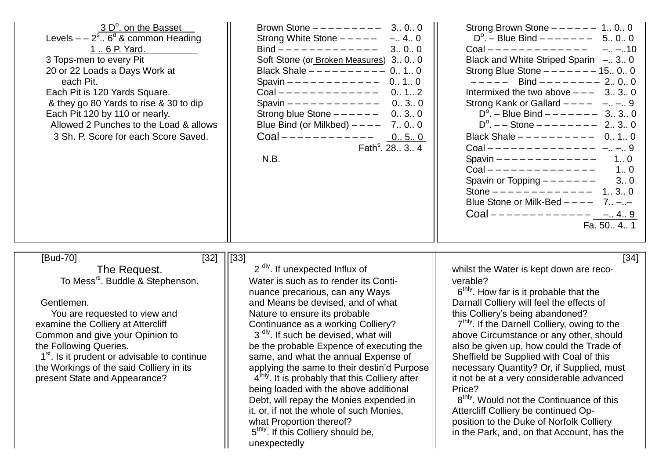| 3 D <sup>o</sup> . on the Basset<br>Levels $-2s$ . 6 <sup>d</sup> & common Heading<br>1  6 P. Yard.<br>3 Tops-men to every Pit<br>20 or 22 Loads a Days Work at<br>each Pit.<br>Each Pit is 120 Yards Square.<br>& they go 80 Yards to rise & 30 to dip<br>Each Pit 120 by 110 or nearly.<br>Allowed 2 Punches to the Load & allows<br>3 Sh. P. Score for each Score Saved.           | Brown Stone $------ - -$ 3 0 0<br>Strong White Stone $-- ---$ 4 0<br>Bind $-----------$ 3 0 0<br>Soft Stone (or Broken Measures) 3 0 0<br>Black Shale $--------$ 0 1 0<br>Spavin $---------$ 0 1 0<br>Coal ------------- 0 1 2<br>Spavin $---------$ 0 3 0<br>Strong blue Stone $---$ - - - -<br>030<br>Blue Bind (or Milkbed) $--- 7.0.0$<br>Coal ------------ $050$<br>Fath <sup>s</sup> . $2834$<br>N.B.                                                                                                                                                                   | Strong Brown Stone $--- - - 1$ 0 0<br>$D^{\circ}$ . – Blue Bind – – – – – – – 5 0 0<br>$Coal$ - - - - - - - - - - - - -<br>$-. -10$<br>Black and White Striped Sparin - 3. 0<br>Strong Blue Stone $------1500$<br>$--- $ Bind $--- $ 2., 0., 0<br>Intermixed the two above $---$ 3., 3., 0<br>Strong Kank or Gallard $-- ---$ . $-$ 9<br>$D^{\circ}$ . – Blue Bind – – – – – – 3 3 0<br>$D^{\circ}$ . --Stone ------- 2 3 0<br>Black Shale $--------$ 0 1 0<br>Coal -------------- - - 9<br>Spavin $-----------$ 1 0<br>$Coal$ --------------<br>1.0<br>Spavin or Topping $------$ 3 0<br>Stone $---------$ 1 3 0<br>Blue Stone or Milk-Bed $--- 7$<br>Coal ------------- <u>--.4.9</u><br>Fa. 50., 4., 1 |
|---------------------------------------------------------------------------------------------------------------------------------------------------------------------------------------------------------------------------------------------------------------------------------------------------------------------------------------------------------------------------------------|-------------------------------------------------------------------------------------------------------------------------------------------------------------------------------------------------------------------------------------------------------------------------------------------------------------------------------------------------------------------------------------------------------------------------------------------------------------------------------------------------------------------------------------------------------------------------------|-----------------------------------------------------------------------------------------------------------------------------------------------------------------------------------------------------------------------------------------------------------------------------------------------------------------------------------------------------------------------------------------------------------------------------------------------------------------------------------------------------------------------------------------------------------------------------------------------------------------------------------------------------------------------------------------------------------|
| [Bud-70]<br>$[32]$ $ [33]$<br>The Request.<br>To Mess <sup>rs</sup> . Buddle & Stephenson.<br>Gentlemen.<br>You are requested to view and<br>examine the Colliery at Attercliff<br>Common and give your Opinion to<br>the Following Queries.<br>1 <sup>st</sup> . Is it prudent or advisable to continue<br>the Workings of the said Colliery in its<br>present State and Appearance? | 2 <sup>dly</sup> . If unexpected Influx of<br>Water is such as to render its Conti-<br>nuance precarious, can any Ways<br>and Means be devised, and of what<br>Nature to ensure its probable<br>Continuance as a working Colliery?<br>3 <sup>dly</sup> . If such be devised, what will<br>be the probable Expence of executing the<br>same, and what the annual Expense of<br>applying the same to their destin'd Purpose<br>4 <sup>thly</sup> . It is probably that this Colliery after<br>being loaded with the above additional<br>Debt, will repay the Monies expended in | $[34]$<br>whilst the Water is kept down are reco-<br>verable?<br>6 <sup>thly</sup> . How far is it probable that the<br>Darnall Colliery will feel the effects of<br>this Colliery's being abandoned?<br>7 <sup>thly</sup> . If the Darnell Colliery, owing to the<br>above Circumstance or any other, should<br>also be given up, how could the Trade of<br>Sheffield be Supplied with Coal of this<br>necessary Quantity? Or, if Supplied, must<br>it not be at a very considerable advanced<br>Price?<br>8 <sup>thly</sup> . Would not the Continuance of this                                                                                                                                         |

5<sup>thly</sup>. If this Colliery should be,

unexpectedly

it, or, if not the whole of such Monies,  $\overline{\phantom{a}}$  || Attercliff Colliery be continued Opwhat Proportion thereof? **position to the Duke of Norfolk Colliery** in the Park, and, on that Account, has the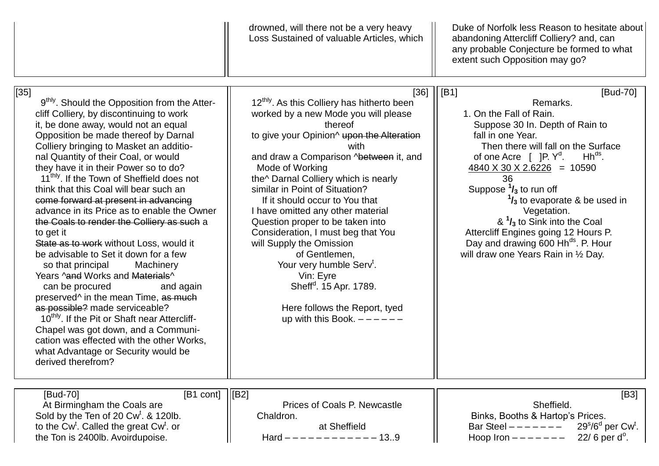|                                                                                                                                                                                                                                                                                                                                                                                                                                                                                                                                                                                                                                                                                                                                                                                                                                                                                                                                                                                                                                                                                | drowned, will there not be a very heavy<br>Loss Sustained of valuable Articles, which                                                                                                                                                                                                                                                                                                                                                                                                                                                                                                                                                                                    | Duke of Norfolk less Reason to hesitate about<br>abandoning Attercliff Colliery? and, can<br>any probable Conjecture be formed to what<br>extent such Opposition may go?                                                                                                                                                                                                                                                                                                                                                                     |
|--------------------------------------------------------------------------------------------------------------------------------------------------------------------------------------------------------------------------------------------------------------------------------------------------------------------------------------------------------------------------------------------------------------------------------------------------------------------------------------------------------------------------------------------------------------------------------------------------------------------------------------------------------------------------------------------------------------------------------------------------------------------------------------------------------------------------------------------------------------------------------------------------------------------------------------------------------------------------------------------------------------------------------------------------------------------------------|--------------------------------------------------------------------------------------------------------------------------------------------------------------------------------------------------------------------------------------------------------------------------------------------------------------------------------------------------------------------------------------------------------------------------------------------------------------------------------------------------------------------------------------------------------------------------------------------------------------------------------------------------------------------------|----------------------------------------------------------------------------------------------------------------------------------------------------------------------------------------------------------------------------------------------------------------------------------------------------------------------------------------------------------------------------------------------------------------------------------------------------------------------------------------------------------------------------------------------|
| $[35]$<br>9 <sup>thly</sup> . Should the Opposition from the Atter-<br>cliff Colliery, by discontinuing to work<br>it, be done away, would not an equal<br>Opposition be made thereof by Darnal<br>Colliery bringing to Masket an additio-<br>nal Quantity of their Coal, or would<br>they have it in their Power so to do?<br>11 <sup>thly</sup> . If the Town of Sheffield does not<br>think that this Coal will bear such an<br>come forward at present in advancing<br>advance in its Price as to enable the Owner<br>the Coals to render the Colliery as such a<br>to get it<br>State as to work without Loss, would it<br>be advisable to Set it down for a few<br>so that principal<br>Machinery<br>Years ^and Works and Materials^<br>can be procured<br>and again<br>preserved <sup>^</sup> in the mean Time, as much<br>as possible? made serviceable?<br>10 <sup>thly</sup> . If the Pit or Shaft near Attercliff-<br>Chapel was got down, and a Communi-<br>cation was effected with the other Works,<br>what Advantage or Security would be<br>derived therefrom? | 12 <sup>thly</sup> . As this Colliery has hitherto been<br>worked by a new Mode you will please<br>thereof<br>to give your Opinion <sup>^</sup> upon the Alteration<br>with<br>and draw a Comparison ^between it, and<br>Mode of Working<br>the^ Darnal Colliery which is nearly<br>similar in Point of Situation?<br>If it should occur to You that<br>I have omitted any other material<br>Question proper to be taken into<br>Consideration, I must beg that You<br>will Supply the Omission<br>of Gentlemen,<br>Your very humble Serv <sup>t</sup> .<br>Vin: Eyre<br>Sheff <sup>d</sup> . 15 Apr. 1789.<br>Here follows the Report, tyed<br>up with this Book. $---$ | [36]    [B1]<br>[Bud-70]<br>Remarks.<br>1. On the Fall of Rain.<br>Suppose 30 In. Depth of Rain to<br>fall in one Year.<br>Then there will fall on the Surface<br>$Hh^{ds}$ .<br>of one Acre $[$ ]P. $Y^d$ .<br>$\frac{4840 \times 30 \times 2.6226}{2} = 10590$<br>36<br>Suppose $\frac{1}{3}$ to run off<br>$\frac{1}{3}$ to evaporate & be used in<br>Vegetation.<br>$8^{1}/_{3}$ to Sink into the Coal<br>Attercliff Engines going 12 Hours P.<br>Day and drawing 600 Hh <sup>ds</sup> . P. Hour<br>will draw one Years Rain in 1/2 Day. |
| [B1 cont] $\vert$ [B2]<br>[Bud-70]<br>At Birmingham the Coals are<br>Sold by the Ten of 20 Cw <sup>t</sup> . & 120lb.<br>to the Cw <sup>t</sup> . Called the great Cw <sup>t</sup> . or<br>the Ton is 2400lb. Avoirdupoise.                                                                                                                                                                                                                                                                                                                                                                                                                                                                                                                                                                                                                                                                                                                                                                                                                                                    | Prices of Coals P. Newcastle<br>Chaldron.<br>at Sheffield<br>$-13.9$<br>$Hard ---$                                                                                                                                                                                                                                                                                                                                                                                                                                                                                                                                                                                       | [ <b>B3</b> ]<br>Sheffield.<br>Binks, Booths & Hartop's Prices.<br>$29s/6d$ per Cw <sup>t</sup> .<br>Bar Steel $------$<br>$22/6$ per d <sup>o</sup> .<br>Hoop Iron $------$                                                                                                                                                                                                                                                                                                                                                                 |